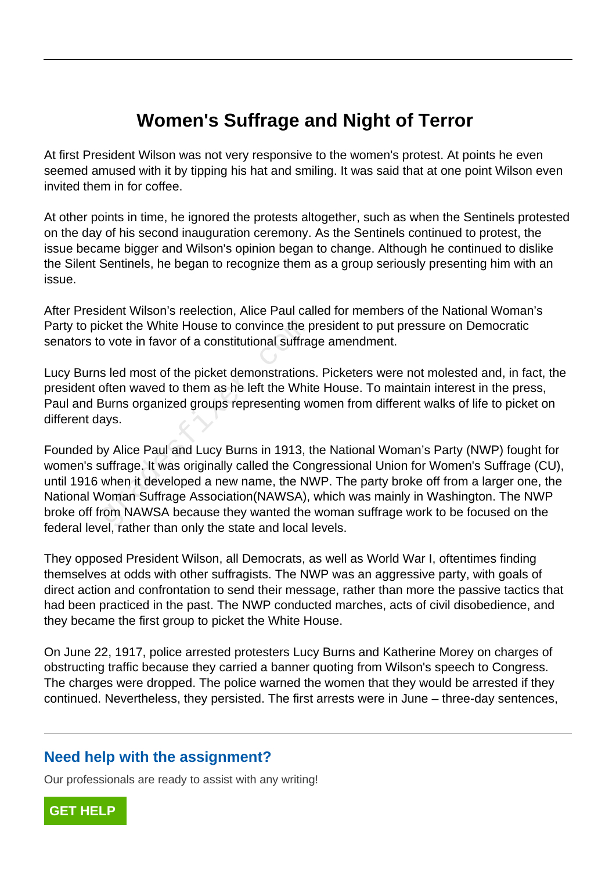# **Women's Suffrage and Night of Terror**

At first President Wilson was not very responsive to the women's protest. At points he even seemed amused with it by tipping his hat and smiling. It was said that at one point Wilson even invited them in for coffee.

At other points in time, he ignored the protests altogether, such as when the Sentinels protested on the day of his second inauguration ceremony. As the Sentinels continued to protest, the issue became bigger and Wilson's opinion began to change. Although he continued to dislike the Silent Sentinels, he began to recognize them as a group seriously presenting him with an issue.

After President Wilson's reelection, Alice Paul called for members of the National Woman's Party to picket the White House to convince the president to put pressure on Democratic senators to vote in favor of a constitutional suffrage amendment.

Lucy Burns led most of the picket demonstrations. Picketers were not molested and, in fact, the president often waved to them as he left the White House. To maintain interest in the press, Paul and Burns organized groups representing women from different walks of life to picket on different days.

Founded by Alice Paul and Lucy Burns in 1913, the National Woman's Party (NWP) fought for women's suffrage. It was originally called the Congressional Union for Women's Suffrage (CU), until 1916 when it developed a new name, the NWP. The party broke off from a larger one, the National Woman Suffrage Association(NAWSA), which was mainly in Washington. The NWP broke off from NAWSA because they wanted the woman suffrage work to be focused on the federal level, rather than only the state and local levels. cket the White House to convince the p<br>b vote in favor of a constitutional suffrage s<br>led most of the picket demonstrations<br>often waved to them as he left the Whit<br>Burns organized groups representing w<br>ays.<br>by Alice Paul a

They opposed President Wilson, all Democrats, as well as World War I, oftentimes finding themselves at odds with other suffragists. The NWP was an aggressive party, with goals of direct action and confrontation to send their message, rather than more the passive tactics that had been practiced in the past. The NWP conducted marches, acts of civil disobedience, and they became the first group to picket the White House.

On June 22, 1917, police arrested protesters Lucy Burns and Katherine Morey on charges of obstructing traffic because they carried a banner quoting from Wilson's speech to Congress. The charges were dropped. The police warned the women that they would be arrested if they continued. Nevertheless, they persisted. The first arrests were in June – three-day sentences,

#### **Need help with the assignment?**

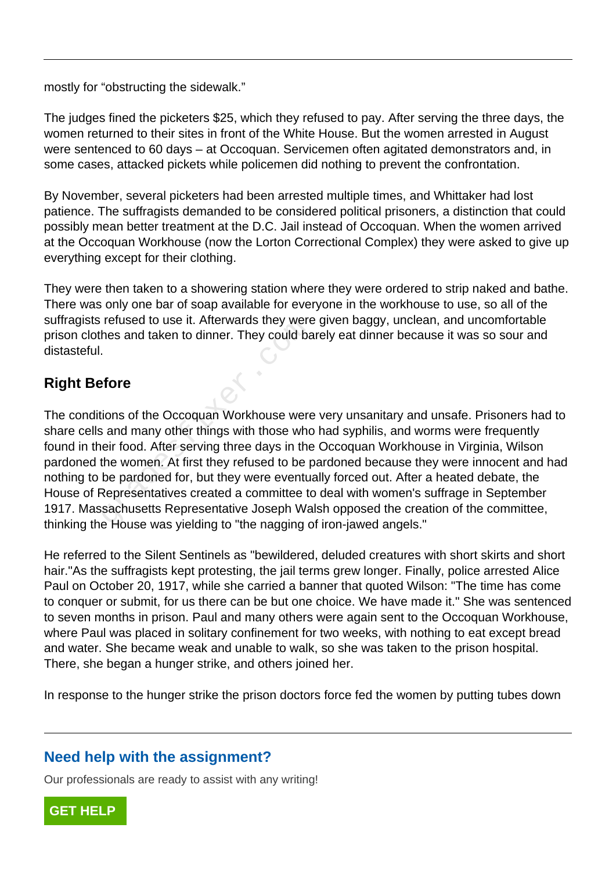mostly for "obstructing the sidewalk."

The judges fined the picketers \$25, which they refused to pay. After serving the three days, the women returned to their sites in front of the White House. But the women arrested in August were sentenced to 60 days – at Occoquan. Servicemen often agitated demonstrators and, in some cases, attacked pickets while policemen did nothing to prevent the confrontation.

By November, several picketers had been arrested multiple times, and Whittaker had lost patience. The suffragists demanded to be considered political prisoners, a distinction that could possibly mean better treatment at the D.C. Jail instead of Occoquan. When the women arrived at the Occoquan Workhouse (now the Lorton Correctional Complex) they were asked to give up everything except for their clothing.

They were then taken to a showering station where they were ordered to strip naked and bathe. There was only one bar of soap available for everyone in the workhouse to use, so all of the suffragists refused to use it. Afterwards they were given baggy, unclean, and uncomfortable prison clothes and taken to dinner. They could barely eat dinner because it was so sour and distasteful.

## **Right Before**

The conditions of the Occoquan Workhouse were very unsanitary and unsafe. Prisoners had to share cells and many other things with those who had syphilis, and worms were frequently found in their food. After serving three days in the Occoquan Workhouse in Virginia, Wilson pardoned the women. At first they refused to be pardoned because they were innocent and had nothing to be pardoned for, but they were eventually forced out. After a heated debate, the House of Representatives created a committee to deal with women's suffrage in September 1917. Massachusetts Representative Joseph Walsh opposed the creation of the committee, thinking the House was yielding to "the nagging of iron-jawed angels." Terused to use it. Alterwards they were<br>hes and taken to dinner. They could ba<br>fore<br>fore<br>ions of the Occoquan Workhouse were<br>a and many other things with those who<br>eir food. After serving three days in the<br>the women. At fi

He referred to the Silent Sentinels as "bewildered, deluded creatures with short skirts and short hair."As the suffragists kept protesting, the jail terms grew longer. Finally, police arrested Alice Paul on October 20, 1917, while she carried a banner that quoted Wilson: "The time has come to conquer or submit, for us there can be but one choice. We have made it." She was sentenced to seven months in prison. Paul and many others were again sent to the Occoquan Workhouse, where Paul was placed in solitary confinement for two weeks, with nothing to eat except bread and water. She became weak and unable to walk, so she was taken to the prison hospital. There, she began a hunger strike, and others joined her.

In response to the hunger strike the prison doctors force fed the women by putting tubes down

#### **Need help with the assignment?**

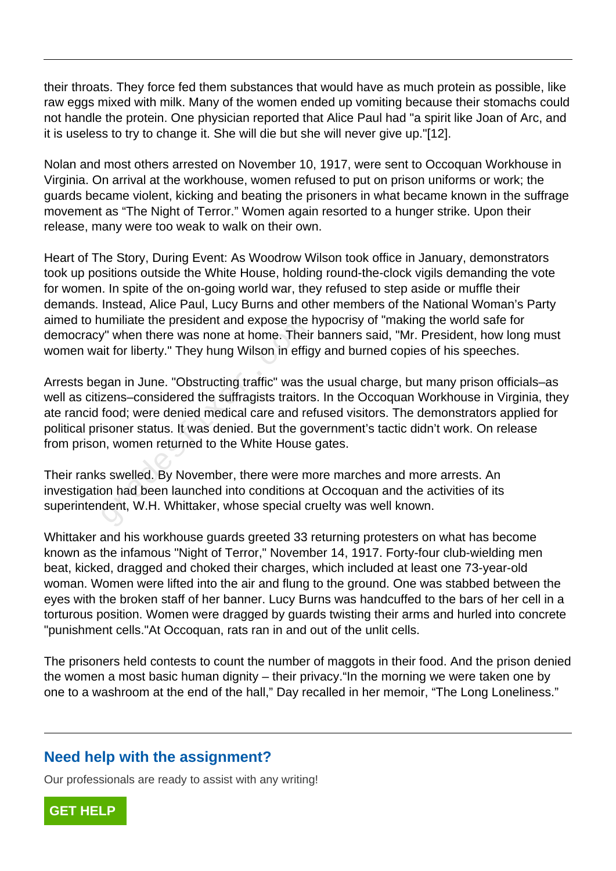their throats. They force fed them substances that would have as much protein as possible, like raw eggs mixed with milk. Many of the women ended up vomiting because their stomachs could not handle the protein. One physician reported that Alice Paul had "a spirit like Joan of Arc, and it is useless to try to change it. She will die but she will never give up."[12].

Nolan and most others arrested on November 10, 1917, were sent to Occoquan Workhouse in Virginia. On arrival at the workhouse, women refused to put on prison uniforms or work; the guards became violent, kicking and beating the prisoners in what became known in the suffrage movement as "The Night of Terror." Women again resorted to a hunger strike. Upon their release, many were too weak to walk on their own.

Heart of The Story, During Event: As Woodrow Wilson took office in January, demonstrators took up positions outside the White House, holding round-the-clock vigils demanding the vote for women. In spite of the on-going world war, they refused to step aside or muffle their demands. Instead, Alice Paul, Lucy Burns and other members of the National Woman's Party aimed to humiliate the president and expose the hypocrisy of "making the world safe for democracy" when there was none at home. Their banners said, "Mr. President, how long must women wait for liberty." They hung Wilson in effigy and burned copies of his speeches.

Arrests began in June. "Obstructing traffic" was the usual charge, but many prison officials–as well as citizens–considered the suffragists traitors. In the Occoquan Workhouse in Virginia, they ate rancid food; were denied medical care and refused visitors. The demonstrators applied for political prisoner status. It was denied. But the government's tactic didn't work. On release from prison, women returned to the White House gates. drimate the president and expose the<br>formate the resident and expose the<br>int for liberty." They hung Wilson in effig<br>gan in June. "Obstructing traffic" was the<br>zens-considered the suffragists traitors<br>food; were denied med

Their ranks swelled. By November, there were more marches and more arrests. An investigation had been launched into conditions at Occoquan and the activities of its superintendent, W.H. Whittaker, whose special cruelty was well known.

Whittaker and his workhouse guards greeted 33 returning protesters on what has become known as the infamous "Night of Terror," November 14, 1917. Forty-four club-wielding men beat, kicked, dragged and choked their charges, which included at least one 73-year-old woman. Women were lifted into the air and flung to the ground. One was stabbed between the eyes with the broken staff of her banner. Lucy Burns was handcuffed to the bars of her cell in a torturous position. Women were dragged by guards twisting their arms and hurled into concrete "punishment cells."At Occoquan, rats ran in and out of the unlit cells.

The prisoners held contests to count the number of maggots in their food. And the prison denied the women a most basic human dignity – their privacy."In the morning we were taken one by one to a washroom at the end of the hall," Day recalled in her memoir, "The Long Loneliness."

#### **Need help with the assignment?**

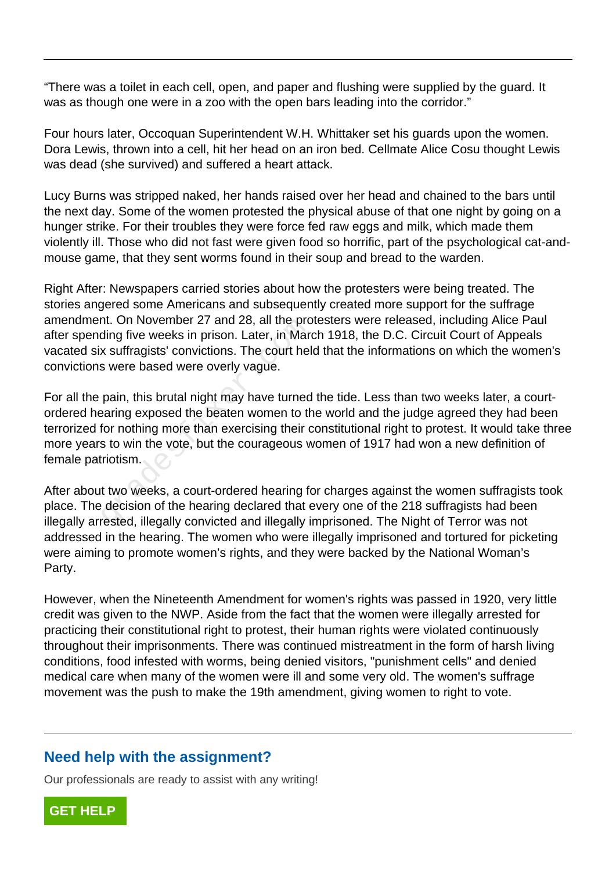"There was a toilet in each cell, open, and paper and flushing were supplied by the guard. It was as though one were in a zoo with the open bars leading into the corridor."

Four hours later, Occoquan Superintendent W.H. Whittaker set his guards upon the women. Dora Lewis, thrown into a cell, hit her head on an iron bed. Cellmate Alice Cosu thought Lewis was dead (she survived) and suffered a heart attack.

Lucy Burns was stripped naked, her hands raised over her head and chained to the bars until the next day. Some of the women protested the physical abuse of that one night by going on a hunger strike. For their troubles they were force fed raw eggs and milk, which made them violently ill. Those who did not fast were given food so horrific, part of the psychological cat-andmouse game, that they sent worms found in their soup and bread to the warden.

Right After: Newspapers carried stories about how the protesters were being treated. The stories angered some Americans and subsequently created more support for the suffrage amendment. On November 27 and 28, all the protesters were released, including Alice Paul after spending five weeks in prison. Later, in March 1918, the D.C. Circuit Court of Appeals vacated six suffragists' convictions. The court held that the informations on which the women's convictions were based were overly vague.

For all the pain, this brutal night may have turned the tide. Less than two weeks later, a courtordered hearing exposed the beaten women to the world and the judge agreed they had been terrorized for nothing more than exercising their constitutional right to protest. It would take three more years to win the vote, but the courageous women of 1917 had won a new definition of female patriotism. In: On November 27 and 26, an the proding five weeks in prison. Later, in Mar<br>x suffragists' convictions. The court hel<br>s were based were overly vague.<br>pain, this brutal night may have turned<br>earing exposed the beaten wome

After about two weeks, a court-ordered hearing for charges against the women suffragists took place. The decision of the hearing declared that every one of the 218 suffragists had been illegally arrested, illegally convicted and illegally imprisoned. The Night of Terror was not addressed in the hearing. The women who were illegally imprisoned and tortured for picketing were aiming to promote women's rights, and they were backed by the National Woman's Party.

However, when the Nineteenth Amendment for women's rights was passed in 1920, very little credit was given to the NWP. Aside from the fact that the women were illegally arrested for practicing their constitutional right to protest, their human rights were violated continuously throughout their imprisonments. There was continued mistreatment in the form of harsh living conditions, food infested with worms, being denied visitors, "punishment cells" and denied medical care when many of the women were ill and some very old. The women's suffrage movement was the push to make the 19th amendment, giving women to right to vote.

#### **Need help with the assignment?**